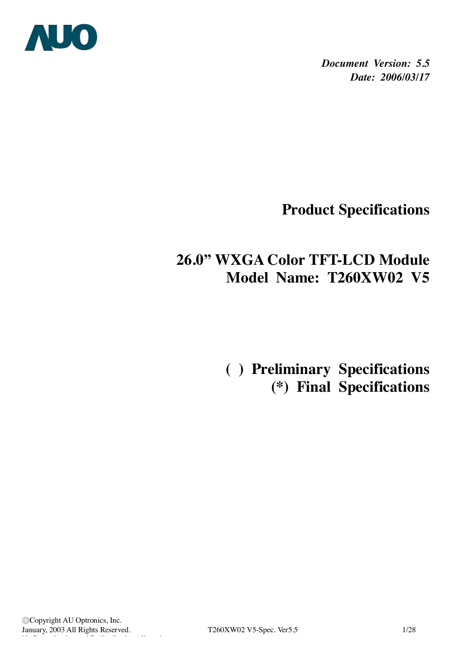

*Document Version: 5.5 Date: 2006/03/17*

**Product Specifications** 

# **26.0" WXGA Color TFT-LCD Module Model Name: T260XW02 V5**

 **( ) Preliminary Specifications (\*) Final Specifications**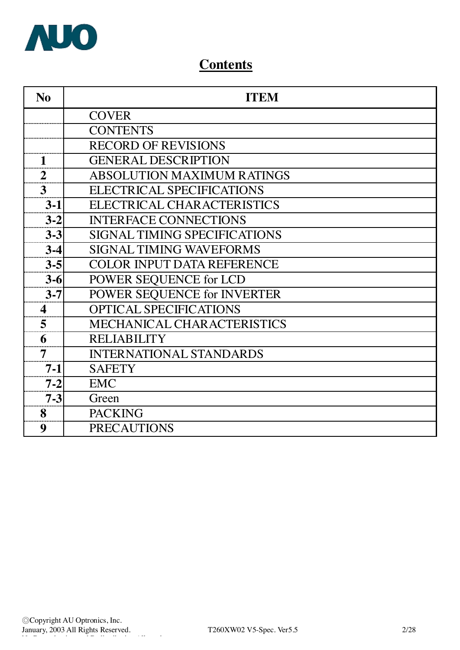

# **Contents**

| N <sub>0</sub>   | <b>ITEM</b>                         |
|------------------|-------------------------------------|
|                  | <b>COVER</b>                        |
|                  | <b>CONTENTS</b>                     |
|                  | <b>RECORD OF REVISIONS</b>          |
| 1                | <b>GENERAL DESCRIPTION</b>          |
| $\overline{2}$   | ABSOLUTION MAXIMUM RATINGS          |
| 3                | <b>ELECTRICAL SPECIFICATIONS</b>    |
| $3-1$            | ELECTRICAL CHARACTERISTICS          |
| $3 - 2$          | <b>INTERFACE CONNECTIONS</b>        |
| $3-3$            | <b>SIGNAL TIMING SPECIFICATIONS</b> |
| $3-4$            | <b>SIGNAL TIMING WAVEFORMS</b>      |
| $3 - 5$          | <b>COLOR INPUT DATA REFERENCE</b>   |
| $3 - 6$          | POWER SEQUENCE for LCD              |
| $3 - 7$          | POWER SEQUENCE for INVERTER         |
| $\boldsymbol{4}$ | <b>OPTICAL SPECIFICATIONS</b>       |
| 5                | MECHANICAL CHARACTERISTICS          |
| 6                | <b>RELIABILITY</b>                  |
| 7                | <b>INTERNATIONAL STANDARDS</b>      |
| $7 - 1$          | <b>SAFETY</b>                       |
| $7 - 2$          | <b>EMC</b>                          |
| $7 - 3$          | Green                               |
| 8                | <b>PACKING</b>                      |
| 9                | <b>PRECAUTIONS</b>                  |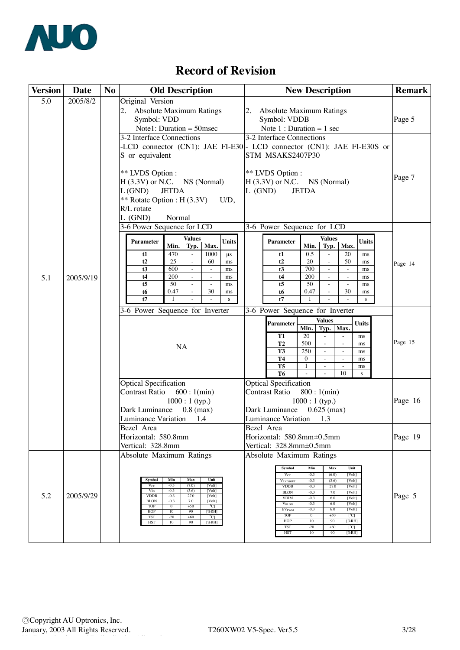

# **Record of Revision**

| <b>Version</b> | Date      | N <sub>0</sub> | <b>Old Description</b>                                                                                                                                                                                                                                                                                                                                              | <b>New Description</b>                                                                                                                                                                                                                                                                                                                                                                                                  | <b>Remark</b> |
|----------------|-----------|----------------|---------------------------------------------------------------------------------------------------------------------------------------------------------------------------------------------------------------------------------------------------------------------------------------------------------------------------------------------------------------------|-------------------------------------------------------------------------------------------------------------------------------------------------------------------------------------------------------------------------------------------------------------------------------------------------------------------------------------------------------------------------------------------------------------------------|---------------|
| 5.0            | 2005/8/2  |                | Original Version                                                                                                                                                                                                                                                                                                                                                    |                                                                                                                                                                                                                                                                                                                                                                                                                         |               |
|                |           |                | <b>Absolute Maximum Ratings</b><br>Symbol: VDD<br>Note1: Duration = $50$ msec                                                                                                                                                                                                                                                                                       | 2.<br><b>Absolute Maximum Ratings</b><br>Symbol: VDDB<br>Note $1:$ Duration = 1 sec                                                                                                                                                                                                                                                                                                                                     | Page 5        |
|                |           |                | 3-2 Interface Connections<br>S or equivalent                                                                                                                                                                                                                                                                                                                        | 3-2 Interface Connections<br>-LCD connector (CN1): JAE FI-E30 - LCD connector (CN1): JAE FI-E30S or<br>STM MSAKS2407P30                                                                                                                                                                                                                                                                                                 |               |
|                |           |                | ** LVDS Option :<br>$H(3.3V)$ or N.C. NS (Normal)<br>L(GND)<br><b>JETDA</b><br>** Rotate Option : H $(3.3V)$<br>$U/D$ ,<br>R/L rotate<br>$L$ (GND)<br>Normal                                                                                                                                                                                                        | ** LVDS Option :<br>$H(3.3V)$ or N.C. NS (Normal)<br>$L$ (GND)<br><b>JETDA</b>                                                                                                                                                                                                                                                                                                                                          | Page 7        |
|                |           |                | 3-6 Power Sequence for LCD                                                                                                                                                                                                                                                                                                                                          | 3-6 Power Sequence for LCD                                                                                                                                                                                                                                                                                                                                                                                              |               |
|                |           |                | Values<br><b>Units</b><br>Parameter<br>Min.<br>Typ.<br>Max.                                                                                                                                                                                                                                                                                                         | <b>Values</b><br><b>Units</b><br><b>Parameter</b><br>Typ.<br>Min.<br>Max.                                                                                                                                                                                                                                                                                                                                               |               |
|                |           |                | 470<br>1000<br>$\mu s$<br>t1<br>$\omega$                                                                                                                                                                                                                                                                                                                            | 0.5<br>20<br>t1<br>$\omega$<br>ms                                                                                                                                                                                                                                                                                                                                                                                       |               |
|                |           |                | 25<br>t2<br>60<br>$\omega$<br>ms<br>600<br>t3<br>ms<br>$\blacksquare$<br>$\blacksquare$                                                                                                                                                                                                                                                                             | 50<br>t2<br>20<br>$\omega$<br>ms<br>700<br>t3<br>$\sim$<br>ms<br>$\blacksquare$                                                                                                                                                                                                                                                                                                                                         | Page 14       |
| 5.1            | 2005/9/19 |                | 200<br>t4<br>ms<br>$\sim$<br>$\sim$                                                                                                                                                                                                                                                                                                                                 | 200<br>t4<br>ms<br>$\sim$<br>$\sim$                                                                                                                                                                                                                                                                                                                                                                                     |               |
|                |           |                | t5<br>50<br>$\omega$<br>$\omega$<br>ms                                                                                                                                                                                                                                                                                                                              | t <sub>5</sub><br>50<br>$\omega$<br>$\mathbb{L}$<br>ms                                                                                                                                                                                                                                                                                                                                                                  |               |
|                |           |                | 0.47<br>30<br>t6<br>$\omega$<br>ms<br>t7<br>$\mathbf{1}$<br>$\mathbf{s}$                                                                                                                                                                                                                                                                                            | 0.47<br>30<br>t6<br>ms<br>t7<br>$\mathbf{1}$<br>$\mathbf{s}$                                                                                                                                                                                                                                                                                                                                                            |               |
|                |           |                | 3-6 Power Sequence for Inverter                                                                                                                                                                                                                                                                                                                                     | 3-6 Power Sequence for Inverter                                                                                                                                                                                                                                                                                                                                                                                         |               |
|                |           |                |                                                                                                                                                                                                                                                                                                                                                                     | <b>Values</b>                                                                                                                                                                                                                                                                                                                                                                                                           |               |
|                |           |                |                                                                                                                                                                                                                                                                                                                                                                     | <b>Parameter</b><br><b>Units</b><br>Min.<br>Typ.<br>Max.                                                                                                                                                                                                                                                                                                                                                                |               |
|                |           | <b>T1</b>      | 20<br>ms                                                                                                                                                                                                                                                                                                                                                            | Page 15                                                                                                                                                                                                                                                                                                                                                                                                                 |               |
|                |           |                | NA                                                                                                                                                                                                                                                                                                                                                                  | 500<br>T2<br>$\sim$<br>$\omega$<br>ms<br>T3<br>250<br>ms<br>$\sim$<br>$\sim$                                                                                                                                                                                                                                                                                                                                            |               |
|                |           |                |                                                                                                                                                                                                                                                                                                                                                                     | <b>T4</b><br>$\Omega$<br>$\omega$<br>$\omega$<br>ms                                                                                                                                                                                                                                                                                                                                                                     |               |
|                |           |                |                                                                                                                                                                                                                                                                                                                                                                     | T <sub>5</sub><br>$\mathbf{1}$<br>$\omega$<br>$\sim$<br>ms<br>T <sub>6</sub><br>10                                                                                                                                                                                                                                                                                                                                      |               |
|                |           |                | <b>Optical Specification</b>                                                                                                                                                                                                                                                                                                                                        | s<br><b>Optical Specification</b>                                                                                                                                                                                                                                                                                                                                                                                       |               |
|                |           |                | Contrast Ratio 600 : 1(min)                                                                                                                                                                                                                                                                                                                                         | Contrast Ratio<br>800:1(min)                                                                                                                                                                                                                                                                                                                                                                                            |               |
|                |           |                | $1000:1$ (typ.)                                                                                                                                                                                                                                                                                                                                                     | $1000:1$ (typ.)                                                                                                                                                                                                                                                                                                                                                                                                         | Page 16       |
|                |           |                | Dark Luminance<br>$0.8$ (max)                                                                                                                                                                                                                                                                                                                                       | Dark Luminance<br>$0.625$ (max)                                                                                                                                                                                                                                                                                                                                                                                         |               |
|                |           |                | Luminance Variation<br>1.4                                                                                                                                                                                                                                                                                                                                          | Luminance Variation<br>1.3                                                                                                                                                                                                                                                                                                                                                                                              |               |
|                |           |                | Bezel Area                                                                                                                                                                                                                                                                                                                                                          | Bezel Area                                                                                                                                                                                                                                                                                                                                                                                                              |               |
|                |           |                | Horizontal: 580.8mm                                                                                                                                                                                                                                                                                                                                                 | Horizontal: 580.8mm±0.5mm                                                                                                                                                                                                                                                                                                                                                                                               | Page 19       |
|                |           |                | Vertical: 328.8mm<br>Absolute Maximum Ratings                                                                                                                                                                                                                                                                                                                       | Vertical: 328.8mm±0.5mm<br><b>Absolute Maximum Ratings</b>                                                                                                                                                                                                                                                                                                                                                              |               |
|                |           |                |                                                                                                                                                                                                                                                                                                                                                                     |                                                                                                                                                                                                                                                                                                                                                                                                                         |               |
| 5.2            | 2005/9/29 |                | Min<br>Max<br>Unit<br>Symbol<br>(7.0)<br>[Volt]<br>$-0.3$<br>$V_{CC}$<br>$-0.3$<br>(3.6)<br>Vin<br>[Volt]<br><b>VDDB</b><br>$-0.3$<br>27.0<br>[Volt]<br>7.0<br><b>BLON</b><br>$-0.3$<br>[Volt]<br>$+50$<br><b>TOP</b><br>$\overline{0}$<br>$[^{\circ}C]$<br>HOP<br>$10$<br>90<br>[%RH]<br><b>TST</b><br>$-20$<br>$+60$<br>$[^{\circ}C]$<br>90<br>HST<br>10<br>[%RH] | <b>Symbol</b><br>Min<br>Max<br>Unit<br>$-0.3$<br>(6.0)<br>[Volt]<br>$V_{CC}$<br>$-0.3$<br>(3.6)<br>[Volt]<br><b>VLVDSOPT</b><br>$-0.3$<br>27.0<br><b>VDDB</b><br>[Volt]<br>$-0.3$<br>7.0<br><b>BLON</b><br>[Volt]<br><b>VDIM</b><br>$-0.3$<br>6.0<br>[Volt]<br>$-0.3$<br>6.0<br>[Volt]<br><b>VBLON</b><br>$-0.3$<br>6.0<br>[Volt]<br><b>EVPWM</b><br>TOP<br>$\overline{0}$<br>$+50$<br>[°C]<br>HOP<br>10<br>90<br>[%RH] | Page 5        |
|                |           |                |                                                                                                                                                                                                                                                                                                                                                                     | <b>TST</b><br>$-20$<br>$+60$<br>[°C]<br>HST<br>$10$<br>90<br>[%RH]                                                                                                                                                                                                                                                                                                                                                      |               |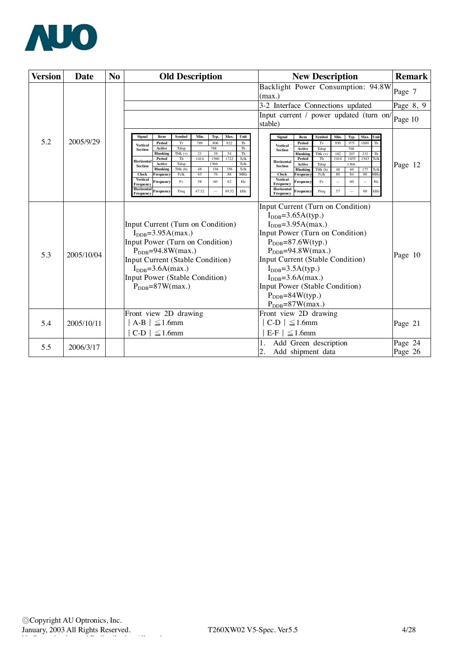

| <b>Version</b> | Date       | N <sub>o</sub> |                                   |                                                | <b>Old Description</b> |       |              |          |              |                                 | <b>New Description</b>                             |                    | <b>Remark</b>    |      |              |                                    |         |           |
|----------------|------------|----------------|-----------------------------------|------------------------------------------------|------------------------|-------|--------------|----------|--------------|---------------------------------|----------------------------------------------------|--------------------|------------------|------|--------------|------------------------------------|---------|-----------|
|                |            |                |                                   |                                                |                        |       |              |          |              | (max.)                          |                                                    |                    |                  |      |              | Backlight Power Consumption: 94.8W | Page 7  |           |
|                |            |                |                                   |                                                |                        |       |              |          |              |                                 | 3-2 Interface Connections updated                  |                    |                  |      |              |                                    |         | Page 8, 9 |
|                |            |                |                                   |                                                |                        |       |              |          |              |                                 | Input current / power updated (turn on/<br>stable) |                    |                  |      |              |                                    |         | Page 10   |
|                |            |                | Signal                            | Item                                           | Symbol                 | Min.  | Typ.         | Max.     | Unit         |                                 | Signal                                             | Item               | Symbol           | Min. | Typ.         | Max. Unit                          |         |           |
| 5.2            | 2005/9/29  |                | <b>Vertical</b>                   | Period                                         | Tv                     | 789   | 806          | 822      | Th           |                                 | <b>Vertical</b>                                    | Period             | Tv               | 950  | 975          | 1000<br>Th                         |         |           |
|                |            |                | <b>Section</b>                    | Active<br><b>Blanking</b>                      | Tdisp<br>Tblk $(v)$    | 21    | 768<br>38    | 54       | Th<br>Th     |                                 | <b>Section</b>                                     | Active<br>Blankins | Tdisp<br>Tblk(v) | 182  | 768<br>207   | 232<br>Th                          |         |           |
|                |            |                | Horizontal                        | Period<br>Active                               | Th<br>Tdisp            | 1414  | 1560<br>1366 | 1722     | Tclk<br>Tclk |                                 | Horizontal                                         | Period<br>Active   | Th<br>Tdisp      | 1414 | 1435<br>1366 | 1543<br>Tclk                       |         |           |
|                |            |                | <b>Section</b>                    | <b>Blanking</b>                                | Tblk (h)               | 48    | 194          | 356      | Tclk         |                                 | Section                                            | Blanking           | Tblk (h)         | 48   | 69           | 177<br>Telk                        | Page 12 |           |
|                |            |                | <b>Clock</b><br><b>Vertical</b>   | Frequenc                                       | Fclk<br>Fv             | 65    | 76           | 88<br>62 | MHz          |                                 | <b>Clock</b><br><b>Vertical</b>                    | Frequenc           | Fclk<br>Fv       | 80   | 84<br>60     | 88<br>MH <sub>2</sub><br>Hz        |         |           |
|                |            |                | Frequency<br>Horizontal           | `requency                                      |                        | 58    | 60           |          | Hz           |                                 | Frequency<br>Horizontal                            | `requency          |                  |      |              |                                    |         |           |
|                |            |                | Frequency                         | Frequency                                      | Freq                   | 47.32 |              | 49.32    | kHz          |                                 | Frequency                                          | Frequency          | Freq             | 57   |              | 60<br>kHz                          |         |           |
|                |            |                |                                   |                                                |                        |       |              |          |              |                                 | Input Current (Turn on Condition)                  |                    |                  |      |              |                                    |         |           |
|                |            |                | $I_{\text{DDB}} = 3.65A(typ.)$    |                                                |                        |       |              |          |              |                                 |                                                    |                    |                  |      |              |                                    |         |           |
|                |            |                | Input Current (Turn on Condition) |                                                |                        |       |              |          |              |                                 | $IDDB=3.95A(max.)$                                 |                    |                  |      |              |                                    |         |           |
|                |            |                | $IDDB=3.95A(max.)$                |                                                |                        |       |              |          |              |                                 | Input Power (Turn on Condition)                    |                    |                  |      |              |                                    |         |           |
|                |            |                | Input Power (Turn on Condition)   |                                                |                        |       |              |          |              | $P_{\text{DDB}} = 87.6W(typ.)$  |                                                    |                    |                  |      |              |                                    |         |           |
|                |            |                | $P_{\text{DDB}} = 94.8W$ (max.)   |                                                |                        |       |              |          |              | $P_{\text{DDB}} = 94.8W$ (max.) |                                                    |                    |                  |      |              |                                    |         |           |
| 5.3            | 2005/10/04 |                | Input Current (Stable Condition)  |                                                |                        |       |              |          |              |                                 | Input Current (Stable Condition)                   |                    |                  |      |              |                                    | Page 10 |           |
|                |            |                |                                   | $I_{\text{DDB}} = 3.6A(max.)$                  |                        |       |              |          |              |                                 | $I_{\text{DDB}} = 3.5A(typ.)$                      |                    |                  |      |              |                                    |         |           |
|                |            |                | Input Power (Stable Condition)    |                                                |                        |       |              |          |              |                                 | $IDDB=3.6A(max.)$                                  |                    |                  |      |              |                                    |         |           |
|                |            |                |                                   | $P_{\text{DDB}} = 87W$ (max.)                  |                        |       |              |          |              |                                 | Input Power (Stable Condition)                     |                    |                  |      |              |                                    |         |           |
|                |            |                |                                   |                                                |                        |       |              |          |              |                                 | $P_{DDB} = 84W(typ.)$                              |                    |                  |      |              |                                    |         |           |
|                |            |                |                                   |                                                |                        |       |              |          |              |                                 | $P_{\rm DDB} = 87W$ (max.)                         |                    |                  |      |              |                                    |         |           |
|                |            |                | Front view 2D drawing             |                                                |                        |       |              |          |              |                                 | Front view 2D drawing                              |                    |                  |      |              |                                    |         |           |
| 5.4            | 2005/10/11 |                |                                   |                                                |                        |       |              |          |              |                                 |                                                    |                    |                  |      |              |                                    |         |           |
|                |            |                |                                   | $A-B \mid \leq 1.6$ mm<br>$C-D$   $\leq$ 1.6mm |                        |       |              |          |              |                                 | $C-D$   $\leq$ 1.6mm<br>$E-F \mid \leq 1.6$ mm     |                    |                  |      |              |                                    | Page 21 |           |
|                |            |                |                                   |                                                |                        |       |              |          |              |                                 |                                                    |                    |                  |      |              |                                    |         |           |
| 5.5            | 2006/3/17  |                |                                   |                                                |                        |       |              |          |              |                                 | Add Green description                              |                    |                  |      |              |                                    | Page 24 |           |
|                |            |                |                                   |                                                |                        |       |              |          |              | 2.                              | Add shipment data                                  |                    |                  |      |              |                                    | Page 26 |           |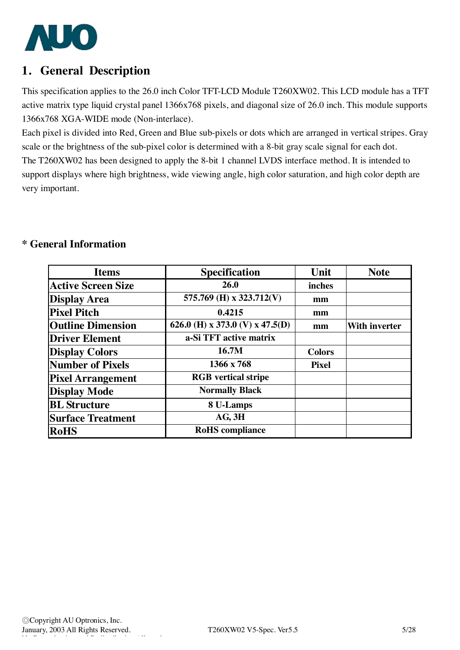

## **1. General Description**

This specification applies to the 26.0 inch Color TFT-LCD Module T260XW02. This LCD module has a TFT active matrix type liquid crystal panel 1366x768 pixels, and diagonal size of 26.0 inch. This module supports 1366x768 XGA-WIDE mode (Non-interlace).

Each pixel is divided into Red, Green and Blue sub-pixels or dots which are arranged in vertical stripes. Gray scale or the brightness of the sub-pixel color is determined with a 8-bit gray scale signal for each dot. The T260XW02 has been designed to apply the 8-bit 1 channel LVDS interface method. It is intended to support displays where high brightness, wide viewing angle, high color saturation, and high color depth are very important.

## **\* General Information**

| <b>Items</b>              | <b>Specification</b>            | Unit          | <b>Note</b>          |
|---------------------------|---------------------------------|---------------|----------------------|
| <b>Active Screen Size</b> | 26.0                            | inches        |                      |
| <b>Display Area</b>       | 575.769 (H) x 323.712(V)        | mm            |                      |
| <b>Pixel Pitch</b>        | 0.4215                          | mm            |                      |
| <b>Outline Dimension</b>  | 626.0 (H) x 373.0 (V) x 47.5(D) | mm            | <b>With inverter</b> |
| <b>Driver Element</b>     | a-Si TFT active matrix          |               |                      |
| <b>Display Colors</b>     | 16.7M                           | <b>Colors</b> |                      |
| <b>Number of Pixels</b>   | 1366 x 768                      | <b>Pixel</b>  |                      |
| <b>Pixel Arrangement</b>  | <b>RGB</b> vertical stripe      |               |                      |
| <b>Display Mode</b>       | <b>Normally Black</b>           |               |                      |
| <b>BL</b> Structure       | 8 U-Lamps                       |               |                      |
| <b>Surface Treatment</b>  | AG, 3H                          |               |                      |
| RoHS                      | <b>RoHS</b> compliance          |               |                      |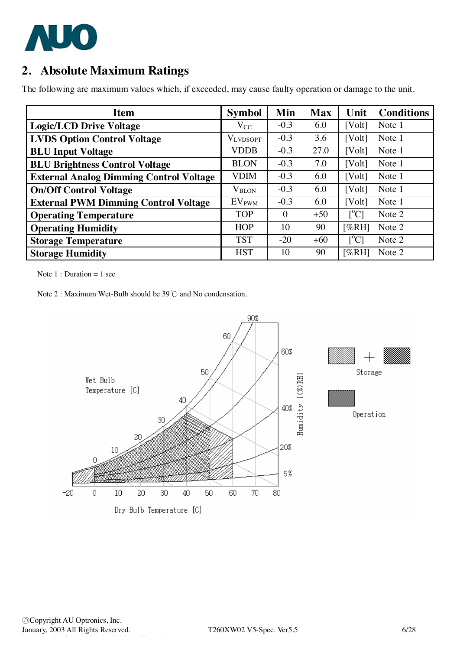

# **2. Absolute Maximum Ratings**

The following are maximum values which, if exceeded, may cause faulty operation or damage to the unit.

| <b>Item</b>                                    | <b>Symbol</b>     | Min      | <b>Max</b> | Unit                      | <b>Conditions</b> |
|------------------------------------------------|-------------------|----------|------------|---------------------------|-------------------|
| <b>Logic/LCD Drive Voltage</b>                 | $V_{CC}$          | $-0.3$   | 6.0        | [Volt]                    | Note 1            |
| <b>LVDS Option Control Voltage</b>             | <b>VLVDSOPT</b>   | $-0.3$   | 3.6        | [Volt]                    | Note 1            |
| <b>BLU Input Voltage</b>                       | <b>VDDB</b>       | $-0.3$   | 27.0       | [Volt]                    | Note 1            |
| <b>BLU Brightness Control Voltage</b>          | <b>BLON</b>       | $-0.3$   | 7.0        | [Volt]                    | Note 1            |
| <b>External Analog Dimming Control Voltage</b> | <b>VDIM</b>       | $-0.3$   | 6.0        | [Volt]                    | Note 1            |
| <b>On/Off Control Voltage</b>                  | $V_{\rm BLON}$    | $-0.3$   | 6.0        | [Volt]                    | Note 1            |
| <b>External PWM Dimming Control Voltage</b>    | EV <sub>PWM</sub> | $-0.3$   | 6.0        | [Volt]                    | Note 1            |
| <b>Operating Temperature</b>                   | <b>TOP</b>        | $\theta$ | $+50$      | $\lceil{^{\circ}C}\rceil$ | Note 2            |
| <b>Operating Humidity</b>                      | <b>HOP</b>        | 10       | 90         | [%RH]                     | Note 2            |
| <b>Storage Temperature</b>                     | <b>TST</b>        | $-20$    | $+60$      | $\lceil{^{\circ}C}\rceil$ | Note 2            |
| <b>Storage Humidity</b>                        | <b>HST</b>        | 10       | 90         | [%RH]                     | Note 2            |

Note  $1:$  Duration = 1 sec

Note 2 : Maximum Wet-Bulb should be 39℃ and No condensation.

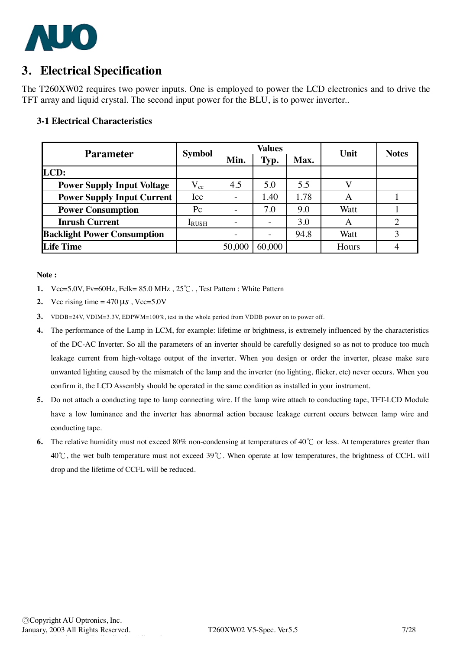

## **3. Electrical Specification**

The T260XW02 requires two power inputs. One is employed to power the LCD electronics and to drive the TFT array and liquid crystal. The second input power for the BLU, is to power inverter..

#### **3-1 Electrical Characteristics**

| <b>Parameter</b>                   | <b>Symbol</b> |        | <b>Values</b>            |      | Unit  | <b>Notes</b> |
|------------------------------------|---------------|--------|--------------------------|------|-------|--------------|
|                                    |               | Min.   | Typ.                     | Max. |       |              |
| LCD:                               |               |        |                          |      |       |              |
| <b>Power Supply Input Voltage</b>  | $\rm V_{cc}$  | 4.5    | 5.0                      | 5.5  |       |              |
| <b>Power Supply Input Current</b>  | Icc           |        | 1.40                     | 1.78 | A     |              |
| <b>Power Consumption</b>           | $P_{\rm C}$   |        | 7.0                      | 9.0  | Watt  |              |
| <b>Inrush Current</b>              | <b>IRUSH</b>  |        | $\overline{\phantom{0}}$ | 3.0  | A     |              |
| <b>Backlight Power Consumption</b> |               |        |                          | 94.8 | Watt  |              |
| <b>Life Time</b>                   |               | 50,000 | 60,000                   |      | Hours |              |

#### **Note :**

- **1.** Vcc=5.0V, Fv=60Hz, Fclk= 85.0 MHz , 25℃. , Test Pattern : White Pattern
- **2.** Vcc rising time =  $470 \,\mu s$ , Vcc= $5.0V$
- **3.** VDDB=24V, VDIM=3.3V, EDPWM=100%, test in the whole period from VDDB power on to power off.
- **4.** The performance of the Lamp in LCM, for example: lifetime or brightness, is extremely influenced by the characteristics of the DC-AC Inverter. So all the parameters of an inverter should be carefully designed so as not to produce too much leakage current from high-voltage output of the inverter. When you design or order the inverter, please make sure unwanted lighting caused by the mismatch of the lamp and the inverter (no lighting, flicker, etc) never occurs. When you confirm it, the LCD Assembly should be operated in the same condition as installed in your instrument.
- **5.** Do not attach a conducting tape to lamp connecting wire. If the lamp wire attach to conducting tape, TFT-LCD Module have a low luminance and the inverter has abnormal action because leakage current occurs between lamp wire and conducting tape.
- **6.** The relative humidity must not exceed 80% non-condensing at temperatures of 40℃ or less. At temperatures greater than 40℃, the wet bulb temperature must not exceed 39℃. When operate at low temperatures, the brightness of CCFL will drop and the lifetime of CCFL will be reduced.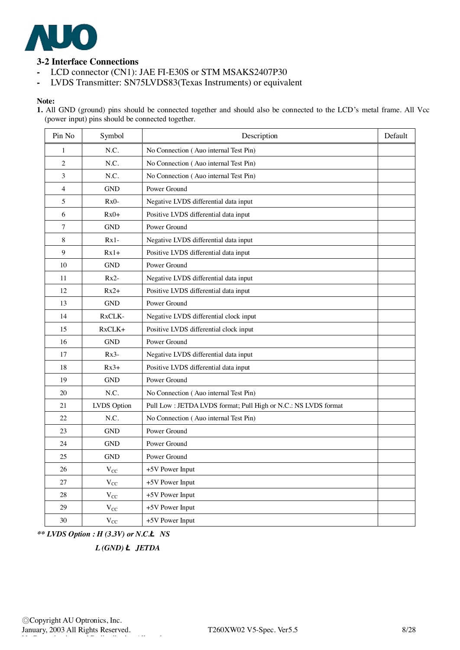

## **3-2 Interface Connections**

- **-** LCD connector (CN1): JAE FI-E30S or STM MSAKS2407P30
- **-** LVDS Transmitter: SN75LVDS83(Texas Instruments) or equivalent

#### **Note:**

1. All GND (ground) pins should be connected together and should also be connected to the LCD's metal frame. All Vcc (power input) pins should be connected together.

| Pin No         | Symbol       | Description                                                    | Default |
|----------------|--------------|----------------------------------------------------------------|---------|
| $\mathbf{1}$   | N.C.         | No Connection (Auo internal Test Pin)                          |         |
| 2              | N.C.         | No Connection (Auo internal Test Pin)                          |         |
| 3              | N.C.         | No Connection (Auo internal Test Pin)                          |         |
| $\overline{4}$ | <b>GND</b>   | Power Ground                                                   |         |
| 5              | $Rx0-$       | Negative LVDS differential data input                          |         |
| 6              | $Rx0+$       | Positive LVDS differential data input                          |         |
| 7              | <b>GND</b>   | Power Ground                                                   |         |
| 8              | $Rx1-$       | Negative LVDS differential data input                          |         |
| 9              | $Rx1+$       | Positive LVDS differential data input                          |         |
| 10             | <b>GND</b>   | Power Ground                                                   |         |
| 11             | $Rx2-$       | Negative LVDS differential data input                          |         |
| 12             | $Rx2+$       | Positive LVDS differential data input                          |         |
| 13             | <b>GND</b>   | Power Ground                                                   |         |
| 14             | RxCLK-       | Negative LVDS differential clock input                         |         |
| 15             | $RxCLK+$     | Positive LVDS differential clock input                         |         |
| 16             | <b>GND</b>   | Power Ground                                                   |         |
| 17             | $Rx3-$       | Negative LVDS differential data input                          |         |
| 18             | $Rx3+$       | Positive LVDS differential data input                          |         |
| 19             | <b>GND</b>   | Power Ground                                                   |         |
| 20             | N.C.         | No Connection (Auo internal Test Pin)                          |         |
| 21             | LVDS Option  | Pull Low: JETDA LVDS format; Pull High or N.C.: NS LVDS format |         |
| 22             | N.C.         | No Connection (Auo internal Test Pin)                          |         |
| 23             | <b>GND</b>   | Power Ground                                                   |         |
| 24             | <b>GND</b>   | Power Ground                                                   |         |
| 25             | <b>GND</b>   | Power Ground                                                   |         |
| 26             | $V_{CC}$     | +5V Power Input                                                |         |
| 27             | $V_{CC}$     | +5V Power Input                                                |         |
| 28             | $\rm V_{CC}$ | +5V Power Input                                                |         |
| 29             | $V_{CC}$     | +5V Power Input                                                |         |
| 30             | $V_{CC}$     | +5V Power Input                                                |         |

*\*\* LVDS Option : H (3.3V) or N.C.***Ë** *NS* 

 *L (GND)* **Ë** *JETDA*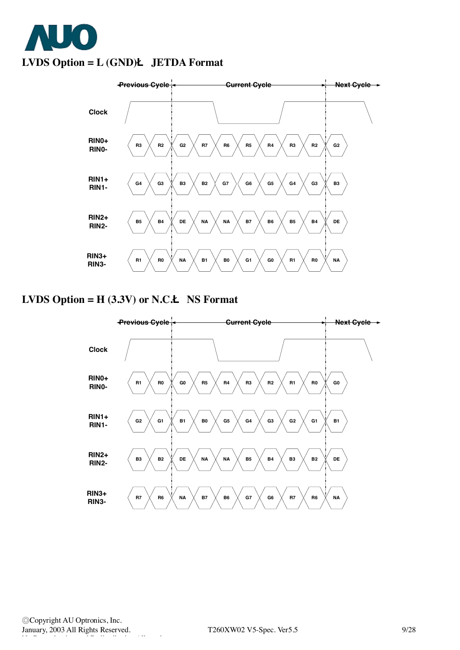



## **LVDS Option = H (3.3V) or N.C.Ë NS Format**



◎Copyright AU Optronics, Inc. January, 2003 All Rights Reserved. T260XW02 V5-Spec. Ver5.5 9/28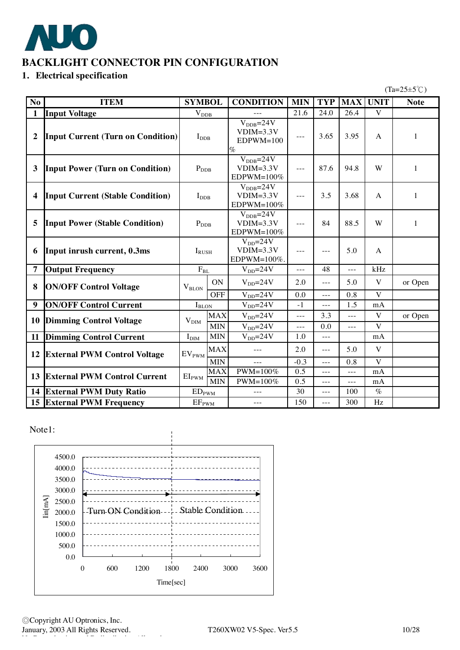

## **BACKLIGHT CONNECTOR PIN CONFIGURATION**

## **1. Electrical specification**

 $(Ta=25\pm5\degree\text{C})$ 

| N <sub>o</sub>          | <b>ITEM</b>                              | <b>SYMBOL</b>                |                         | <b>CONDITION</b>                                             | <b>MIN</b>     | <b>TYP</b>             | <b>MAX</b>     | <b>UNIT</b>  | <b>Note</b> |
|-------------------------|------------------------------------------|------------------------------|-------------------------|--------------------------------------------------------------|----------------|------------------------|----------------|--------------|-------------|
| $\mathbf{1}$            | <b>Input Voltage</b>                     | $V_{DDB}$                    |                         |                                                              | 21.6           | 24.0                   | 26.4           | $\mathbf V$  |             |
| $\overline{2}$          | <b>Input Current (Turn on Condition)</b> | $I_{\rm DDB}$                |                         | $V_{\text{DDB}} = 24V$<br>$VDIM=3.3V$<br>$EDPWM=100$<br>$\%$ | $---$          | 3.65                   | 3.95           | A            | 1           |
| 3                       | <b>Input Power (Turn on Condition)</b>   | $P_{\rm DDB}$                |                         | $V_{DDB} = 24V$<br>$VDIM=3.3V$<br>EDPWM=100%                 | $\overline{a}$ | 87.6                   | 94.8           | W            | 1           |
| $\overline{\mathbf{4}}$ | <b>Input Current (Stable Condition)</b>  | $I_{\rm DDB}$                |                         | $V_{\text{DDB}} = 24V$<br>$VDIM=3.3V$<br>EDPWM=100%          | $---$          | 3.5                    | 3.68           | A            | 1           |
| 5                       | <b>Input Power (Stable Condition)</b>    | $P_{\rm DDB}$                |                         | $V_{\text{DDB}} = 24V$<br>$VDIM=3.3V$<br>EDPWM=100%          | $\overline{a}$ | 84                     | 88.5           | W            | 1           |
| 6                       | Input inrush current, 0.3ms              | $I_{RUSH}$                   |                         | $V_{DD} = 24V$<br>$VDIM=3.3V$<br>EDPWM=100%.                 | $---$          | $---$                  | 5.0            | A            |             |
| $\overline{7}$          | <b>Output Frequency</b>                  | $\rm F_{BL}$                 |                         | $V_{DD} = 24V$                                               | $\overline{a}$ | 48                     | $---$          | kHz          |             |
| 8                       | <b>ON/OFF Control Voltage</b>            | $V_{\text{BLON}}$            | <b>ON</b><br><b>OFF</b> | $V_{DD} = 24V$<br>$V_{DD} = 24V$                             | 2.0<br>0.0     | $---$<br>$\frac{1}{2}$ | 5.0<br>0.8     | V<br>V       | or Open     |
| 9                       | <b>ON/OFF Control Current</b>            | $I_{\text{BLON}}$            |                         | $V_{DD} = 24V$                                               | $-1$           | $---$                  | 1.5            | mA           |             |
|                         |                                          |                              | <b>MAX</b>              | $V_{DD} = 24V$                                               | $---$          | 3.3                    | $\overline{a}$ | $\mathbf{V}$ | or Open     |
| 10                      | <b>Dimming Control Voltage</b>           | $V_{\text{DIM}}$             | <b>MIN</b>              | $V_{DD} = 24V$                                               | $---$          | 0.0                    | $---$          | V            |             |
| 11                      | <b>Dimming Control Current</b>           | $\mathbf{I}_{\text{DIM}}$    | <b>MIN</b>              | $V_{DD} = 24V$                                               | 1.0            | $\overline{a}$         |                | mA           |             |
| 12                      | <b>External PWM Control Voltage</b>      | $EV_{\mathrm{PWM}}$          | <b>MAX</b>              | $---$                                                        | 2.0            | $\frac{1}{2}$          | 5.0            | V            |             |
|                         |                                          |                              | <b>MIN</b>              |                                                              | $-0.3$         | $---$                  | 0.8            | $\mathbf{V}$ |             |
|                         | <b>13 External PWM Control Current</b>   | $EI_{PWM}$                   | <b>MAX</b>              | $PWM=100\%$                                                  | 0.5            | $---$                  | $---$          | mA           |             |
|                         |                                          |                              | <b>MIN</b>              | PWM=100%                                                     | 0.5            | $\frac{1}{2}$          | $---$          | mA           |             |
|                         | <b>14 External PWM Duty Ratio</b>        | $\mathrm{ED}_{\mathrm{PWM}}$ |                         |                                                              | 30             | $\frac{1}{2}$          | 100            | $\%$         |             |
|                         | <b>15 External PWM Frequency</b>         | EF <sub>PWM</sub>            |                         | $---$                                                        | 150            | $\frac{1}{2}$          | 300            | Hz           |             |

Note1:

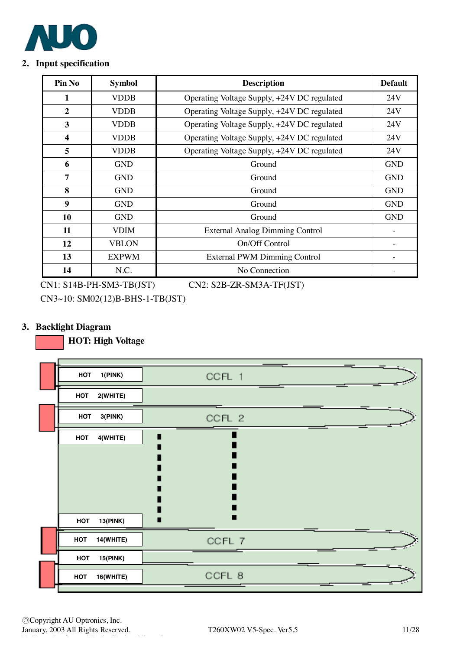

### **2. Input specification**

| Pin No                  | <b>Symbol</b> | <b>Description</b>                          | <b>Default</b> |
|-------------------------|---------------|---------------------------------------------|----------------|
| 1                       | <b>VDDB</b>   | Operating Voltage Supply, +24V DC regulated | 24V            |
| $\overline{2}$          | <b>VDDB</b>   | Operating Voltage Supply, +24V DC regulated | 24V            |
| 3                       | <b>VDDB</b>   | Operating Voltage Supply, +24V DC regulated | 24V            |
| $\overline{\mathbf{4}}$ | <b>VDDB</b>   | Operating Voltage Supply, +24V DC regulated | 24V            |
| 5                       | <b>VDDB</b>   | Operating Voltage Supply, +24V DC regulated | 24V            |
| 6                       | <b>GND</b>    | Ground                                      | <b>GND</b>     |
| $\overline{7}$          | <b>GND</b>    | Ground                                      | <b>GND</b>     |
| 8                       | <b>GND</b>    | Ground                                      | <b>GND</b>     |
| 9                       | <b>GND</b>    | Ground                                      | <b>GND</b>     |
| 10                      | <b>GND</b>    | Ground                                      | <b>GND</b>     |
| 11                      | VDIM          | <b>External Analog Dimming Control</b>      |                |
| 12                      | <b>VBLON</b>  | On/Off Control                              |                |
| 13                      | <b>EXPWM</b>  | <b>External PWM Dimming Control</b>         |                |
| 14                      | N.C.          | No Connection                               |                |

CN1: S14B-PH-SM3-TB(JST) CN2: S2B-ZR-SM3A-TF(JST)

CN3~10: SM02(12)B-BHS-1-TB(JST)

## **3. Backlight Diagram**

 **HOT: High Voltage** 

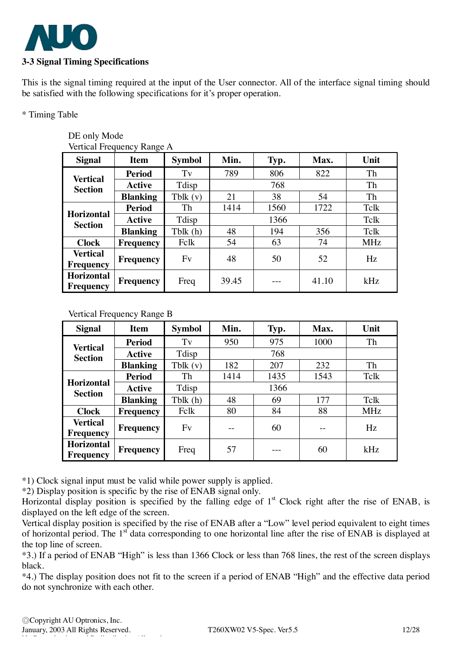

This is the signal timing required at the input of the User connector. All of the interface signal timing should be satisfied with the following specifications for it's proper operation.

\* Timing Table

#### DE only Mode Vertical Frequency Range A

| <b>Signal</b>                         | <b>Item</b>                        | <b>Symbol</b> | Min.  | Typ. | Max.  | Unit       |  |  |
|---------------------------------------|------------------------------------|---------------|-------|------|-------|------------|--|--|
| <b>Vertical</b>                       | <b>Period</b>                      | Tv            | 789   | 806  | 822   | Th         |  |  |
| <b>Section</b>                        | <b>Active</b>                      | Tdisp         |       | 768  |       | Th         |  |  |
| <b>Blanking</b>                       |                                    | Tblk $(v)$    | 21    | 38   | 54    |            |  |  |
|                                       | <b>Period</b><br><b>Horizontal</b> |               | 1414  | 1560 | 1722  | Tclk       |  |  |
| <b>Section</b>                        | <b>Active</b>                      | Tdisp         |       |      | Tclk  |            |  |  |
|                                       | <b>Blanking</b>                    | Tblk(h)       | 48    | 194  | 356   | Tclk       |  |  |
| <b>Clock</b>                          | Frequency                          | Fclk          | 54    | 63   | 74    | <b>MHz</b> |  |  |
| <b>Vertical</b><br><b>Frequency</b>   | <b>Frequency</b>                   | Fv            | 48    | 50   | 52    | Hz         |  |  |
| <b>Horizontal</b><br><b>Frequency</b> | Frequency                          | Freq          | 39.45 |      | 41.10 | kHz        |  |  |

### Vertical Frequency Range B

| <b>Signal</b>                         | <b>Item</b>      | <b>Symbol</b> | Min. | Typ. | Max. | Unit       |
|---------------------------------------|------------------|---------------|------|------|------|------------|
| <b>Vertical</b>                       | <b>Period</b>    | $T_{V}$       | 950  | 975  | 1000 | Th         |
| <b>Section</b>                        | <b>Active</b>    | Tdisp         |      | 768  |      |            |
|                                       | <b>Blanking</b>  | Tblk $(v)$    | 182  | 207  | 232  | Th         |
| <b>Period</b>                         |                  | Th            | 1414 | 1435 | 1543 | Tclk       |
| <b>Horizontal</b><br><b>Section</b>   | <b>Active</b>    | Tdisp         |      |      |      |            |
|                                       | <b>Blanking</b>  | Tblk(h)       | 48   | 69   | 177  | Tclk       |
| <b>Clock</b>                          | <b>Frequency</b> | Felk          | 80   | 84   | 88   | <b>MHz</b> |
| <b>Vertical</b><br><b>Frequency</b>   | Frequency        | Fv            |      | 60   |      | Hz         |
| <b>Horizontal</b><br><b>Frequency</b> | Frequency        | Freq          | 57   |      | 60   | kHz        |

\*1) Clock signal input must be valid while power supply is applied.

\*2) Display position is specific by the rise of ENAB signal only.

Horizontal display position is specified by the falling edge of  $1<sup>st</sup>$  Clock right after the rise of ENAB, is displayed on the left edge of the screen.

Vertical display position is specified by the rise of ENAB after a "Low" level period equivalent to eight times of horizontal period. The 1<sup>st</sup> data corresponding to one horizontal line after the rise of ENAB is displayed at the top line of screen.

\*3.) If a period of ENAB "High" is less than 1366 Clock or less than 768 lines, the rest of the screen displays black.

\*4.) The display position does not fit to the screen if a period of ENAB "High" and the effective data period do not synchronize with each other.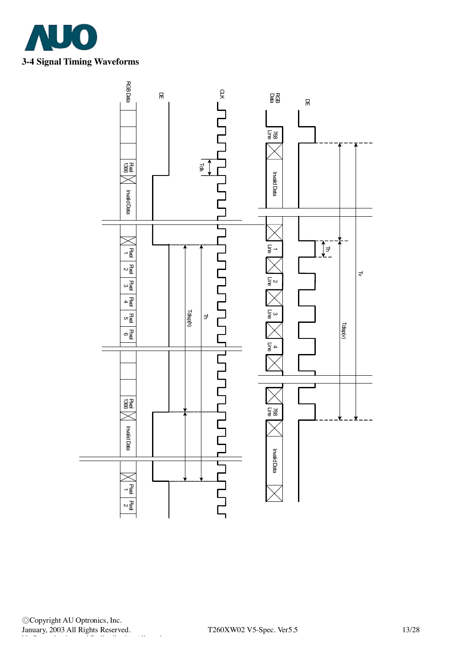



◎Copyright AU Optronics, Inc. January, 2003 All Rights Reserved. T260XW02 V5-Spec. Ver5.5 13/28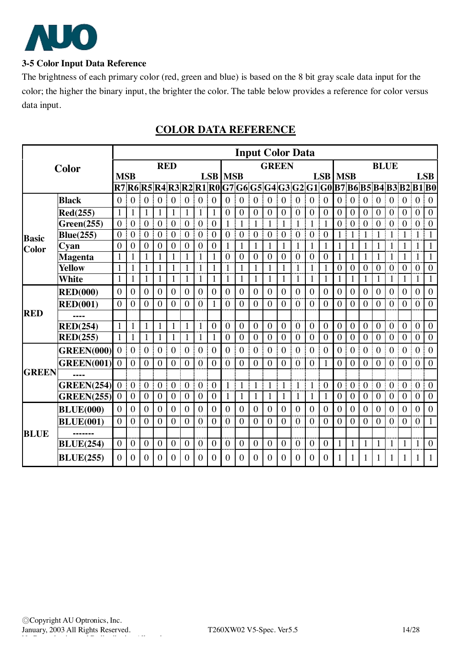

## **3-5 Color Input Data Reference**

The brightness of each primary color (red, green and blue) is based on the 8 bit gray scale data input for the color; the higher the binary input, the brighter the color. The table below provides a reference for color versus data input.

|              |                   |                |                  |                    |                |                  |                  |                  |                  |                |                |                  | <b>Input Color Data</b>                                                 |                |                  |                  |                |                  |                  |                  |                  |                  |                |                  |                  |
|--------------|-------------------|----------------|------------------|--------------------|----------------|------------------|------------------|------------------|------------------|----------------|----------------|------------------|-------------------------------------------------------------------------|----------------|------------------|------------------|----------------|------------------|------------------|------------------|------------------|------------------|----------------|------------------|------------------|
|              | Color             |                |                  |                    | <b>RED</b>     |                  |                  |                  |                  |                |                |                  | <b>GREEN</b>                                                            |                |                  |                  |                |                  |                  |                  | <b>BLUE</b>      |                  |                |                  |                  |
|              |                   | <b>MSB</b>     |                  |                    |                |                  |                  |                  |                  | <b>LSB</b> MSB |                |                  |                                                                         |                |                  |                  | <b>LSB</b>     | <b>MSB</b>       |                  |                  |                  |                  |                |                  | <b>LSB</b>       |
|              |                   |                |                  |                    |                |                  |                  |                  |                  |                |                |                  | R7 R6 R5 R4 R3 R2 R1 R0 G7 G6 G5 G4 G3 G2 G1 G0 B7 B6 B5 B4 B3 B2 B1 B0 |                |                  |                  |                |                  |                  |                  |                  |                  |                |                  |                  |
|              | <b>Black</b>      | $\overline{0}$ | $\overline{0}$   | $\mathbf{0}$       | $\overline{0}$ | $\mathbf{0}$     | $\boldsymbol{0}$ | $\mathbf{0}$     | $\overline{0}$   | $\theta$       | $\overline{0}$ | $\overline{0}$   | $\overline{0}$                                                          | $\mathbf{0}$   | $\mathbf{0}$     | $\mathbf{0}$     | $\overline{0}$ | $\mathbf{0}$     | $\boldsymbol{0}$ | $\boldsymbol{0}$ | $\mathbf{0}$     | $\overline{0}$   | $\overline{0}$ | $\boldsymbol{0}$ | $\boldsymbol{0}$ |
|              | Red(255)          | $\mathbf{1}$   | 1                | $\mathbf{1}$       | 1              | $\mathbf{1}$     | $\mathbf{1}$     | $\mathbf{1}$     | $\mathbf{1}$     | $\overline{0}$ | $\overline{0}$ | $\boldsymbol{0}$ | $\overline{0}$                                                          | $\mathbf{0}$   | $\boldsymbol{0}$ | $\boldsymbol{0}$ | $\mathbf{0}$   | $\boldsymbol{0}$ | $\boldsymbol{0}$ | $\boldsymbol{0}$ | $\boldsymbol{0}$ | $\overline{0}$   | $\overline{0}$ | $\boldsymbol{0}$ | $\boldsymbol{0}$ |
|              | Green(255)        | $\overline{0}$ | $\boldsymbol{0}$ | $\boldsymbol{0}$   | $\overline{0}$ | $\boldsymbol{0}$ | $\boldsymbol{0}$ | $\mathbf{0}$     | $\overline{0}$   | $\mathbf{1}$   | $\mathbf{1}$   | $\mathbf{1}$     | $\mathbf{1}$                                                            | $\mathbf{1}$   | $\mathbf{1}$     | $\mathbf{1}$     | $\mathbf{1}$   | $\boldsymbol{0}$ | $\mathbf{0}$     | $\overline{0}$   | $\boldsymbol{0}$ | $\overline{0}$   | $\mathbf{0}$   | $\boldsymbol{0}$ | $\mathbf{0}$     |
| <b>Basic</b> | <b>Blue(255)</b>  | $\theta$       | $\mathbf{0}$     | $\mathbf{0}$       | $\theta$       | $\overline{0}$   | $\mathbf{0}$     | $\overline{0}$   | $\theta$         | $\theta$       | $\overline{0}$ | $\overline{0}$   | $\theta$                                                                | $\overline{0}$ | $\mathbf{0}$     | $\overline{0}$   | $\overline{0}$ | $\mathbf{1}$     | $\mathbf{1}$     | 1                | $\mathbf{1}$     | 1                | $\mathbf{1}$   | $\mathbf{1}$     | $\mathbf{1}$     |
| Color        | Cyan              | $\overline{0}$ | $\Omega$         | $\theta$           | $\Omega$       | $\overline{0}$   | $\theta$         | $\mathbf{0}$     | $\theta$         | 1              | 1              | $\mathbf{1}$     | 1                                                                       | $\mathbf{1}$   | 1                | $\mathbf{1}$     | $\mathbf{1}$   | $\mathbf{1}$     | $\mathbf{1}$     | 1                | 1                | 1                | 1              | 1                | $\mathbf{1}$     |
|              | <b>Magenta</b>    | $\mathbf{1}$   |                  | $\mathbf{1}$       | $\mathbf{1}$   | $\mathbf{1}$     | 1                | $\mathbf{1}$     | $\mathbf{1}$     | $\theta$       | $\theta$       | $\overline{0}$   | $\theta$                                                                | $\overline{0}$ | $\overline{0}$   | $\overline{0}$   | $\overline{0}$ | $\mathbf{1}$     | $\mathbf{1}$     | $\mathbf{1}$     | 1                | $\mathbf{1}$     | $\mathbf{1}$   | $\mathbf{1}$     | $\mathbf{1}$     |
|              | <b>Yellow</b>     | 1              |                  | 1                  | 1              | 1                | 1                | 1                | 1                | 1              | 1              | 1                | 1                                                                       | $\mathbf{1}$   | 1                | 1                | 1              | $\mathbf{0}$     | $\mathbf{0}$     | $\overline{0}$   | $\mathbf{0}$     | $\overline{0}$   | $\mathbf{0}$   | $\boldsymbol{0}$ | $\boldsymbol{0}$ |
|              | White             | $\mathbf{1}$   |                  | $\mathbf{1}$       | 1              | 1                | 1                | 1                | $\mathbf{1}$     | 1              | 1              | 1                | 1                                                                       | $\mathbf{1}$   |                  | 1                | $\mathbf{1}$   | 1                | $\mathbf{1}$     | 1                | 1                | $\mathbf{1}$     | 1              | 1                | $\mathbf{1}$     |
|              | <b>RED(000)</b>   | $\overline{0}$ | $\overline{0}$   | $\mathbf{0}$       | $\theta$       | $\theta$         | $\theta$         | $\theta$         | $\theta$         | $\overline{0}$ | $\theta$       | $\overline{0}$   | $\theta$                                                                | $\overline{0}$ | $\theta$         | $\mathbf{0}$     | $\theta$       | $\mathbf{0}$     | $\theta$         | $\theta$         | $\Omega$         | $\theta$         | $\theta$       | $\overline{0}$   | $\mathbf{0}$     |
|              | <b>RED(001)</b>   | $\theta$       | $\overline{0}$   | $\mathbf{0}$       | $\overline{0}$ | $\theta$         | $\overline{0}$   | $\mathbf{0}$     | $\mathbf{1}$     | $\theta$       | $\theta$       | $\overline{0}$   | $\theta$                                                                | $\theta$       | $\theta$         | $\overline{0}$   | $\overline{0}$ | $\overline{0}$   | $\overline{0}$   | $\theta$         | $\theta$         | $\overline{0}$   | $\mathbf{0}$   | $\boldsymbol{0}$ | $\mathbf{0}$     |
| <b>RED</b>   |                   |                |                  |                    |                |                  |                  |                  |                  |                |                |                  |                                                                         |                |                  |                  |                |                  |                  |                  |                  |                  |                |                  |                  |
|              | <b>RED(254)</b>   | $\mathbf{1}$   |                  | $\mathbf{1}$       | $\mathbf{1}$   | 1                | $\mathbf{1}$     | $\mathbf{1}$     | $\overline{0}$   | $\overline{0}$ | $\overline{0}$ | $\overline{0}$   | $\overline{0}$                                                          | $\overline{0}$ | $\overline{0}$   | $\overline{0}$   | $\mathbf{0}$   | $\overline{0}$   | $\overline{0}$   | $\overline{0}$   | $\mathbf{0}$     | $\overline{0}$   | $\mathbf{0}$   | $\overline{0}$   | $\overline{0}$   |
|              | RED(255)          | 1              | 1                | $\mathbf{1}$       | 1              | $\mathbf{1}$     | 1                | $\mathbf{1}$     | $\mathbf{1}$     | $\overline{0}$ | $\overline{0}$ | $\overline{0}$   | $\overline{0}$                                                          | $\overline{0}$ | $\mathbf{0}$     | $\mathbf{0}$     | $\overline{0}$ | $\overline{0}$   | $\overline{0}$   | $\theta$         | $\mathbf{0}$     | $\overline{0}$   | $\overline{0}$ | $\overline{0}$   | $\mathbf{0}$     |
|              | <b>GREEN(000)</b> | $\overline{0}$ | $\overline{0}$   | $\mathbf{0}$       | $\mathbf{0}$   | $\overline{0}$   | $\boldsymbol{0}$ | $\boldsymbol{0}$ | $\overline{0}$   | $\overline{0}$ | $\overline{0}$ | $\boldsymbol{0}$ | $\overline{0}$                                                          | $\overline{0}$ | $\mathbf{0}$     | $\mathbf{0}$     | $\mathbf{0}$   | $\overline{0}$   | $\boldsymbol{0}$ | $\overline{0}$   | $\mathbf{0}$     | $\overline{0}$   | $\overline{0}$ | $\boldsymbol{0}$ | $\boldsymbol{0}$ |
|              | <b>GREEN(001)</b> | $\theta$       | $\overline{0}$   | $\mathbf{0}$       | $\theta$       | $\overline{0}$   | 0                | $\theta$         | $\theta$         | $\theta$       | $\theta$       | $\theta$         | $\Omega$                                                                | $\theta$       | 0                | $\theta$         | 1              | $\overline{0}$   | $\overline{0}$   | $\theta$         | $\theta$         | $\theta$         | $\theta$       | $\overline{0}$   | $\boldsymbol{0}$ |
| <b>GREEN</b> |                   |                |                  |                    |                |                  |                  |                  |                  |                |                |                  |                                                                         |                |                  |                  |                |                  |                  |                  |                  |                  |                |                  |                  |
|              | <b>GREEN(254)</b> | $\overline{0}$ | $\boldsymbol{0}$ | $\mathbf{0}$       | $\overline{0}$ | $\overline{0}$   | $\boldsymbol{0}$ | $\overline{0}$   | $\overline{0}$   | $\mathbf{1}$   | $\mathbf{1}$   | $\mathbf{1}$     | $\mathbf{1}$                                                            | $\mathbf{1}$   | 1                | $\mathbf{1}$     | $\mathbf{0}$   | $\overline{0}$   | $\boldsymbol{0}$ | $\overline{0}$   | $\mathbf{0}$     | $\overline{0}$   | $\overline{0}$ | $\boldsymbol{0}$ | $\mathbf{0}$     |
|              | <b>GREEN(255)</b> | $\overline{0}$ | $\boldsymbol{0}$ | $\boldsymbol{0}$   | $\overline{0}$ | $\boldsymbol{0}$ | $\mathbf{0}$     | $\mathbf{0}$     | $\boldsymbol{0}$ | 1              | 1              | $\mathbf{1}$     | 1                                                                       | $\mathbf{1}$   | 1                | $\mathbf{1}$     | $\mathbf{1}$   | $\boldsymbol{0}$ | $\boldsymbol{0}$ | $\overline{0}$   | $\mathbf{0}$     | $\boldsymbol{0}$ | $\overline{0}$ | $\boldsymbol{0}$ | $\boldsymbol{0}$ |
|              | <b>BLUE(000)</b>  | $\theta$       | $\overline{0}$   | $\boldsymbol{0}$   | $\theta$       | $\overline{0}$   | $\boldsymbol{0}$ | $\mathbf{0}$     | $\overline{0}$   | $\theta$       | $\overline{0}$ | $\overline{0}$   | $\overline{0}$                                                          | $\overline{0}$ | $\boldsymbol{0}$ | $\overline{0}$   | $\mathbf{0}$   | $\overline{0}$   | $\boldsymbol{0}$ | $\mathbf{0}$     | $\theta$         | $\theta$         | $\theta$       | $\overline{0}$   | $\boldsymbol{0}$ |
|              | <b>BLUE(001)</b>  | $\theta$       | 0                | $\overline{0}$     | $\theta$       | $\overline{0}$   | $\overline{0}$   | $\overline{0}$   | $\overline{0}$   | 0              | $\overline{0}$ | $\overline{0}$   | $\overline{0}$                                                          | $\overline{0}$ | $\overline{0}$   | $\overline{0}$   | $\overline{0}$ | $\overline{0}$   | $\overline{0}$   | $\theta$         | $\overline{0}$   | $\overline{0}$   | $\overline{0}$ | $\overline{0}$   | $\mathbf{1}$     |
| <b>BLUE</b>  |                   |                |                  |                    |                |                  |                  |                  |                  |                |                |                  |                                                                         |                |                  |                  |                |                  |                  |                  |                  |                  |                |                  |                  |
|              | <b>BLUE(254)</b>  | $\overline{0}$ | $\overline{0}$   | $\mathbf{0}$<br>f, | $\overline{0}$ | $\mathbf{0}$     | $\boldsymbol{0}$ | $\overline{0}$   | $\overline{0}$   | $\overline{0}$ | $\overline{0}$ | $\boldsymbol{0}$ | $\overline{0}$                                                          | $\mathbf{0}$   | $\mathbf{0}$     | $\mathbf{0}$     | $\overline{0}$ | $\mathbf{1}$     | $\mathbf{1}$     | $\mathbf{1}$     | $\mathbf{1}$     | $\mathbf{1}$     | $\mathbf{1}$   | $\mathbf{1}$     | $\overline{0}$   |
|              | <b>BLUE(255)</b>  | $\Omega$       | $\overline{0}$   | $\mathbf{0}$       | $\Omega$       | $\overline{0}$   | $\theta$         | $\mathbf{0}$     | $\Omega$         | $\theta$       | $\Omega$       | $\theta$         | $\Omega$                                                                | $\theta$       | $\Omega$         | $\mathbf{0}$     | $\Omega$       | 1                |                  |                  | 1                | 1                |                | 1                | 1                |

## **COLOR DATA REFERENCE**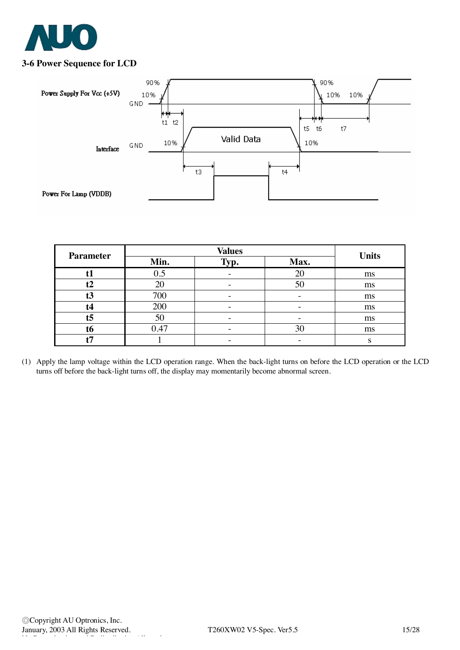

## **3-6 Power Sequence for LCD**



| <b>Parameter</b> |      | <b>Units</b> |      |    |
|------------------|------|--------------|------|----|
|                  | Min. | Typ.         | Max. |    |
| t1               | 0.5  |              | 20   | ms |
| t2               | 20   |              | 50   | ms |
| t3               | 700  |              |      | ms |
| t4               | 200  |              |      | ms |
| t <sub>5</sub>   | 50   |              |      | ms |
| t6               | 0.47 |              | 30   | ms |
| 45               |      |              |      |    |

(1) Apply the lamp voltage within the LCD operation range. When the back-light turns on before the LCD operation or the LCD turns off before the back-light turns off, the display may momentarily become abnormal screen.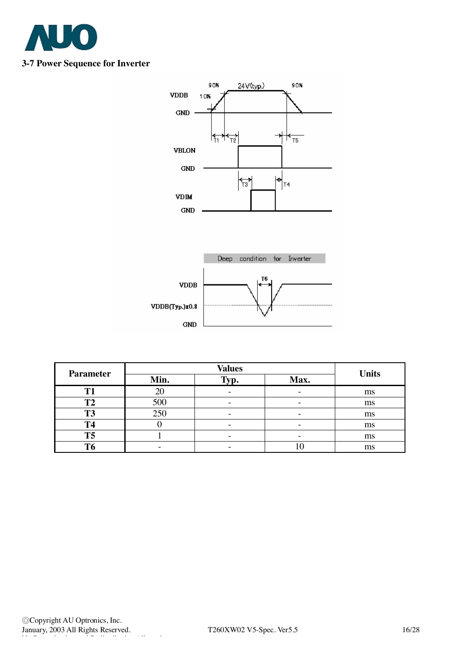

## **3-7 Power Sequence for Inverter**



| <b>Parameter</b> |      | <b>Values</b> |                          |              |
|------------------|------|---------------|--------------------------|--------------|
|                  | Min. | Typ.          | Max.                     | <b>Units</b> |
| <b>T1</b>        | 20   |               |                          | ms           |
| T2               | 500  |               | $\overline{\phantom{0}}$ | ms           |
| <b>T3</b>        | 250  |               |                          | ms           |
| <b>T4</b>        |      |               |                          | ms           |
| <b>T5</b>        |      |               |                          | ms           |
| <b>T6</b>        |      |               |                          | ms           |

 $GND$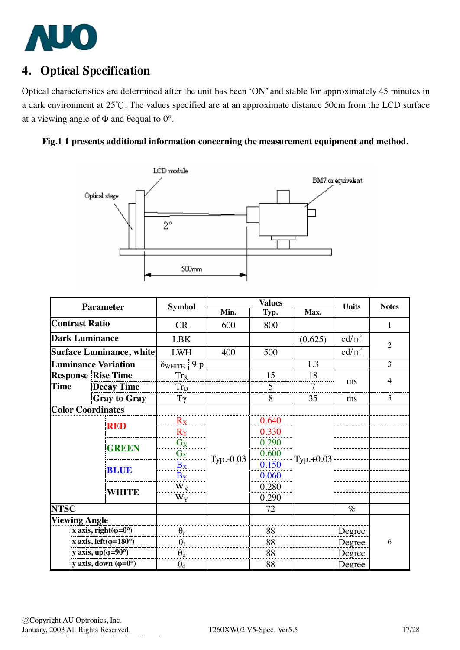

# **4. Optical Specification**

Optical characteristics are determined after the unit has been 'ON' and stable for approximately 45 minutes in a dark environment at 25℃. The values specified are at an approximate distance 50cm from the LCD surface at a viewing angle of  $\Phi$  and  $\theta$ equal to  $0^\circ$ .





| <b>Parameter</b>                     |                                 | <b>Symbol</b>                    | <b>Values</b>           |           |         | <b>Units</b>    | <b>Notes</b>    |                |
|--------------------------------------|---------------------------------|----------------------------------|-------------------------|-----------|---------|-----------------|-----------------|----------------|
|                                      |                                 |                                  | Min.                    | Typ.      | Max.    |                 |                 |                |
| <b>Contrast Ratio</b>                |                                 | <b>CR</b>                        | 600                     | 800       |         |                 | 1               |                |
| <b>Dark Luminance</b>                |                                 | <b>LBK</b>                       |                         |           | (0.625) | $\text{cd/m}^2$ | $\overline{2}$  |                |
|                                      | <b>Surface Luminance, white</b> |                                  | <b>LWH</b>              | 400       | 500     |                 | $\text{cd/m}^2$ |                |
|                                      |                                 | <b>Luminance Variation</b>       | $\delta_{WHITE}$<br>9 p |           |         | 1.3             |                 | 3              |
|                                      |                                 | <b>Response Rise Time</b>        | $Tr_R$                  |           | 15      | 18              |                 | $\overline{4}$ |
| <b>Time</b>                          |                                 | <b>Decay Time</b>                | $Tr_D$                  |           | 5       | 7               | ms              |                |
|                                      |                                 | <b>Gray to Gray</b>              | $T\gamma$               |           | 8       | 35              | ms              | 5              |
| <b>Color Coordinates</b>             |                                 |                                  |                         |           |         |                 |                 |                |
|                                      |                                 | <b>RED</b>                       | $R_X$                   |           | 0.640   |                 |                 |                |
|                                      |                                 |                                  | $R_Y$                   |           | 0.330   |                 |                 |                |
|                                      |                                 | <b>GREEN</b>                     | $G_X$                   | Typ.-0.03 | 0.290   | $Typ.+0.03$     |                 |                |
|                                      |                                 |                                  | $G_Y$                   |           | 0.600   |                 |                 |                |
|                                      |                                 | <b>BLUE</b>                      | $B_X$                   |           | 0.150   |                 |                 |                |
|                                      |                                 |                                  | $B_Y$                   |           | 0.060   |                 |                 |                |
| WHITE                                |                                 | $W_X$                            |                         | 0.280     |         |                 |                 |                |
|                                      |                                 |                                  | $W_Y$                   |           | 0.290   |                 |                 |                |
| <b>NTSC</b>                          |                                 |                                  |                         |           | 72      |                 | $\%$            |                |
| <b>Viewing Angle</b>                 |                                 |                                  |                         |           |         |                 |                 |                |
| x axis, right( $\varphi$ =0°)        |                                 | $\theta_r$                       |                         | 88        |         | Degree          |                 |                |
| x axis, left $(\varphi=180^\circ)$   |                                 | $\theta_1$                       |                         | 88        |         | Degree          | 6               |                |
|                                      |                                 | y axis, $up(\varphi=90^{\circ})$ | $\theta_{\rm u}$        |           | 88      |                 | Degree          |                |
| y axis, down $(\varphi = 0^{\circ})$ |                                 | $\theta_d$                       |                         | 88        |         | Degree          |                 |                |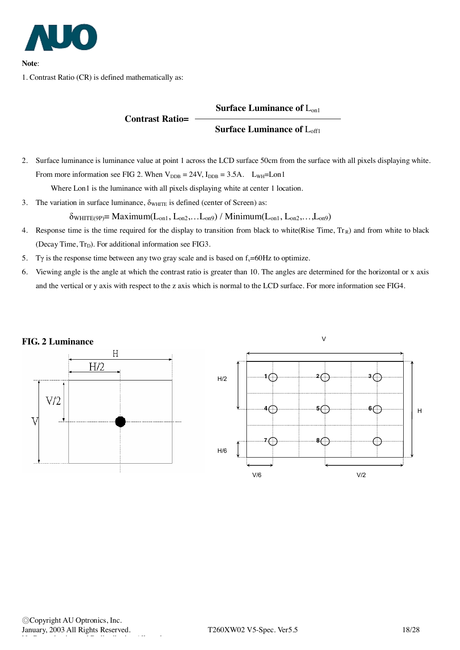

**Note**:

1. Contrast Ratio (CR) is defined mathematically as:

#### **Surface Luminance of** Lon1

#### **Surface Luminance of** Loff1

2. Surface luminance is luminance value at point 1 across the LCD surface 50cm from the surface with all pixels displaying white. From more information see FIG 2. When  $V_{\text{DDB}} = 24V$ ,  $I_{\text{DDB}} = 3.5A$ .  $L_{\text{WH}} = L_{\text{on}}1$ 

Where Lon1 is the luminance with all pixels displaying white at center 1 location.

**Contrast Ratio=**

3. The variation in surface luminance,  $\delta_{\text{WHTE}}$  is defined (center of Screen) as:

 $\delta_{WHITE(9P)} = \text{Maximum}(L_{on1}, L_{on2}, \ldots, L_{on9}) / \text{Minimum}(L_{on1}, L_{on2}, \ldots, L_{on9})$ 

- 4. Response time is the time required for the display to transition from black to white(Rise Time,  $Tr_R$ ) and from white to black (Decay Time,  $Tr_D$ ). For additional information see FIG3.
- 5. Ty is the response time between any two gray scale and is based on  $f_y=60Hz$  to optimize.
- 6. Viewing angle is the angle at which the contrast ratio is greater than 10. The angles are determined for the horizontal or x axis and the vertical or y axis with respect to the z axis which is normal to the LCD surface. For more information see FIG4.

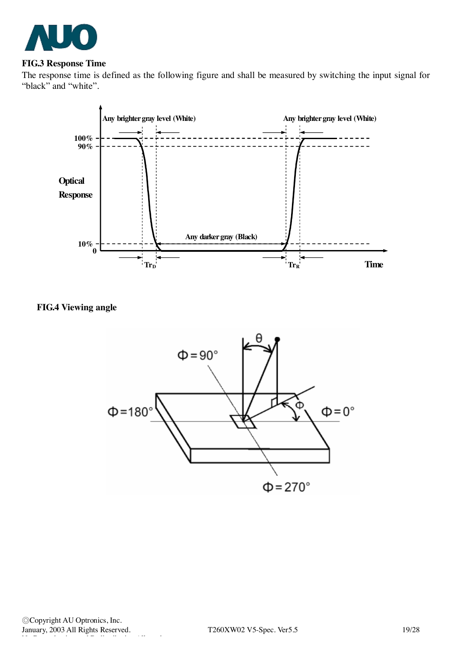

#### **FIG.3 Response Time**

The response time is defined as the following figure and shall be measured by switching the input signal for "black" and "white".



## **FIG.4 Viewing angle**

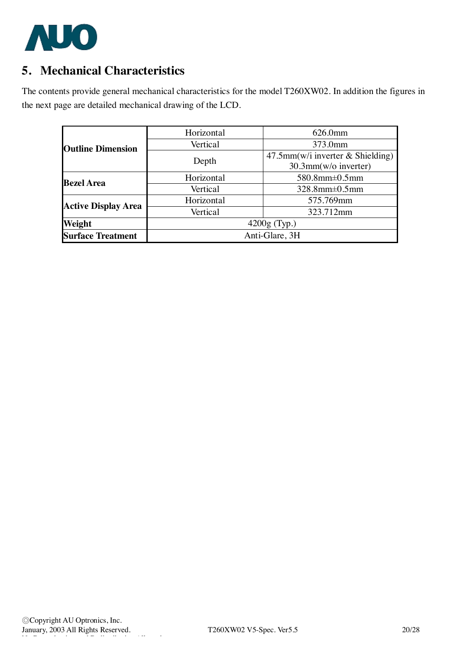

# **5. Mechanical Characteristics**

The contents provide general mechanical characteristics for the model T260XW02. In addition the figures in the next page are detailed mechanical drawing of the LCD.

|                            | Horizontal     | 626.0mm                             |  |  |
|----------------------------|----------------|-------------------------------------|--|--|
| <b>Outline Dimension</b>   | Vertical       | 373.0mm                             |  |  |
|                            |                | $47.5$ mm(w/i inverter & Shielding) |  |  |
|                            | Depth          | 30.3mm(w/o inverter)                |  |  |
| <b>Bezel Area</b>          | Horizontal     | $580.8$ mm $\pm 0.5$ mm             |  |  |
|                            | Vertical       | $328.8$ mm $\pm 0.5$ mm             |  |  |
|                            | Horizontal     | 575.769mm                           |  |  |
| <b>Active Display Area</b> | Vertical       | 323.712mm                           |  |  |
| Weight                     | $4200g$ (Typ.) |                                     |  |  |
| <b>Surface Treatment</b>   | Anti-Glare, 3H |                                     |  |  |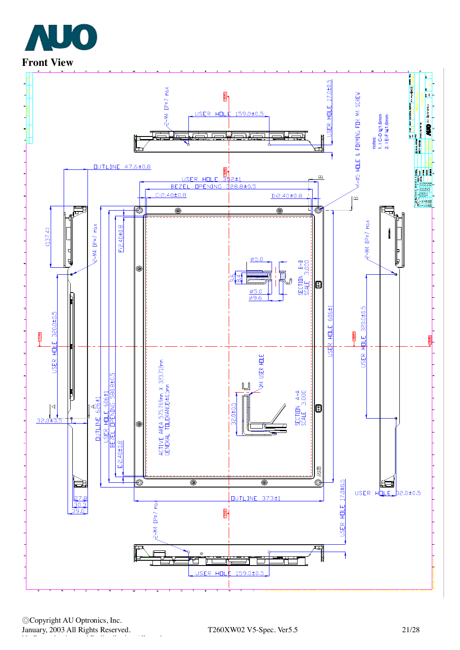



◎Copyright AU Optronics, Inc. January, 2003 All Rights Reserved. T260XW02 V5-Spec. Ver5.5 21/28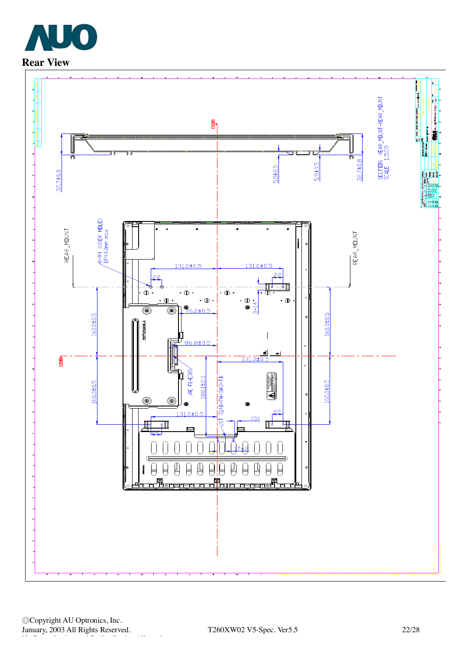

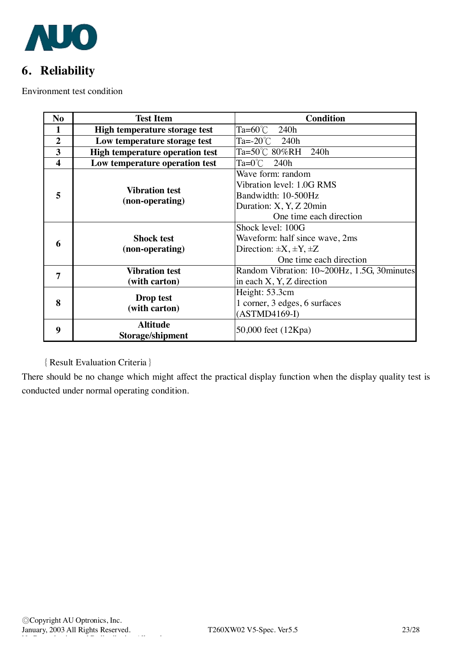

# **6. Reliability**

Environment test condition

| N <sub>o</sub>          | <b>Test Item</b>                         | <b>Condition</b>                            |  |  |
|-------------------------|------------------------------------------|---------------------------------------------|--|--|
| $\mathbf{1}$            | High temperature storage test            | Ta=60 $^{\circ}$ C<br>240h                  |  |  |
| $\overline{2}$          | Low temperature storage test             | Ta=-20°C<br>240h                            |  |  |
| 3                       | <b>High temperature operation test</b>   | Ta=50℃ 80%RH 240h                           |  |  |
| $\overline{\mathbf{4}}$ | Low temperature operation test           | $Ta=0^{\circ}$ C 240h                       |  |  |
| 5                       | <b>Vibration test</b><br>(non-operating) | Wave form: random                           |  |  |
|                         |                                          | Vibration level: 1.0G RMS                   |  |  |
|                         |                                          | Bandwidth: 10-500Hz                         |  |  |
|                         |                                          | Duration: X, Y, Z 20min                     |  |  |
|                         |                                          | One time each direction                     |  |  |
|                         |                                          | Shock level: 100G                           |  |  |
|                         | <b>Shock test</b><br>(non-operating)     | Waveform: half since wave, 2ms              |  |  |
| 6                       |                                          | Direction: $\pm X, \pm Y, \pm Z$            |  |  |
|                         |                                          | One time each direction                     |  |  |
| 7                       | <b>Vibration test</b>                    | Random Vibration: 10~200Hz, 1.5G, 30minutes |  |  |
|                         | (with carton)                            | in each $X, Y, Z$ direction                 |  |  |
| 8                       | Drop test<br>(with carton)               | Height: 53.3cm                              |  |  |
|                         |                                          | 1 corner, 3 edges, 6 surfaces               |  |  |
|                         |                                          | $(ASTMD4169-I)$                             |  |  |
| 9                       | <b>Altitude</b>                          | 50,000 feet (12Kpa)                         |  |  |
|                         | Storage/shipment                         |                                             |  |  |

## {Result Evaluation Criteria}

There should be no change which might affect the practical display function when the display quality test is conducted under normal operating condition.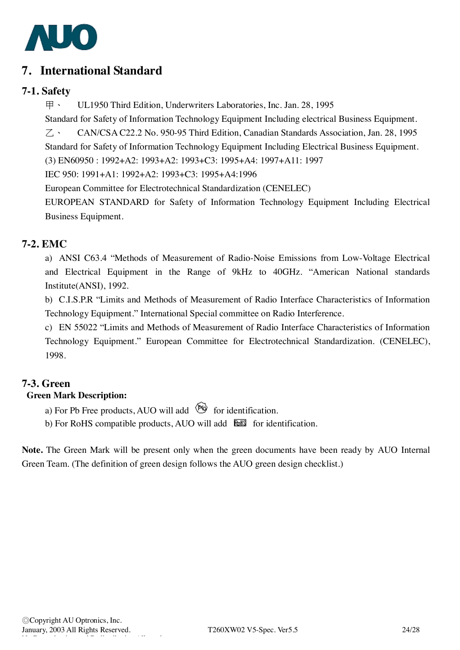

## **7. International Standard**

## **7-1. Safety**

甲、 UL1950 Third Edition, Underwriters Laboratories, Inc. Jan. 28, 1995

Standard for Safety of Information Technology Equipment Including electrical Business Equipment.

乙、 CAN/CSA C22.2 No. 950-95 Third Edition, Canadian Standards Association, Jan. 28, 1995

Standard for Safety of Information Technology Equipment Including Electrical Business Equipment.

(3) EN60950 : 1992+A2: 1993+A2: 1993+C3: 1995+A4: 1997+A11: 1997

IEC 950: 1991+A1: 1992+A2: 1993+C3: 1995+A4:1996

European Committee for Electrotechnical Standardization (CENELEC)

EUROPEAN STANDARD for Safety of Information Technology Equipment Including Electrical Business Equipment.

## **7-2. EMC**

a) ANSI C63.4 "Methods of Measurement of Radio-Noise Emissions from Low-Voltage Electrical and Electrical Equipment in the Range of 9kHz to 40GHz. "American National standards Institute(ANSI), 1992.

b) C.I.S.P.R "Limits and Methods of Measurement of Radio Interface Characteristics of Information Technology Equipment." International Special committee on Radio Interference.

c) EN 55022 "Limits and Methods of Measurement of Radio Interface Characteristics of Information Technology Equipment." European Committee for Electrotechnical Standardization. (CENELEC), 1998.

## **7-3. Green**

## **Green Mark Description:**

a) For Pb Free products, AUO will add  $\bullet$  for identification.

b) For RoHS compatible products, AUO will add  $\overline{\text{b}}$  for identification.

**Note.** The Green Mark will be present only when the green documents have been ready by AUO Internal Green Team. (The definition of green design follows the AUO green design checklist.)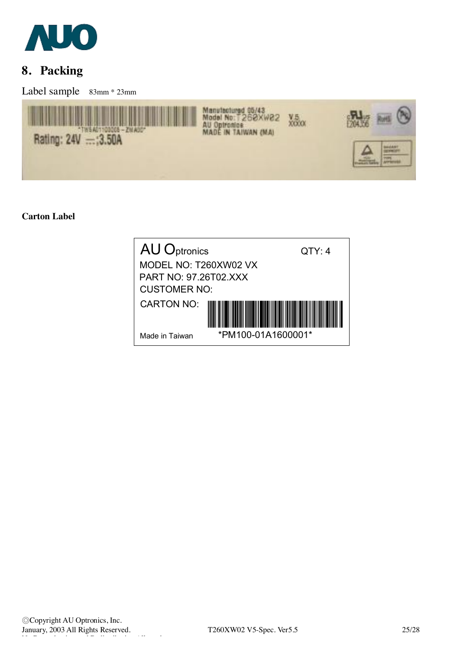

# **8. Packing**

Label sample 83mm \* 23mm



### **Carton Label**

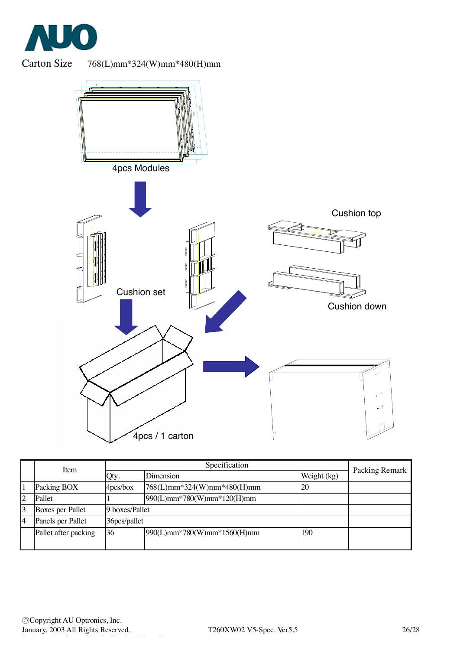



Carton Size 768(L)mm\*324(W)mm\*480(H)mm



|   | <b>Item</b>             |              |                             |             |                |  |
|---|-------------------------|--------------|-----------------------------|-------------|----------------|--|
|   |                         | Qty.         | <b>Dimension</b>            | Weight (kg) | Packing Remark |  |
|   | Packing BOX             | 4pcs/box     | 768(L)mm*324(W)mm*480(H)mm  | 20          |                |  |
|   | Pallet                  |              | 990(L)mm*780(W)mm*120(H)mm  |             |                |  |
|   | <b>Boxes per Pallet</b> |              | 9 boxes/Pallet              |             |                |  |
| 4 | Panels per Pallet       | 36pcs/pallet |                             |             |                |  |
|   | Pallet after packing    | 36           | 990(L)mm*780(W)mm*1560(H)mm | 190         |                |  |
|   |                         |              |                             |             |                |  |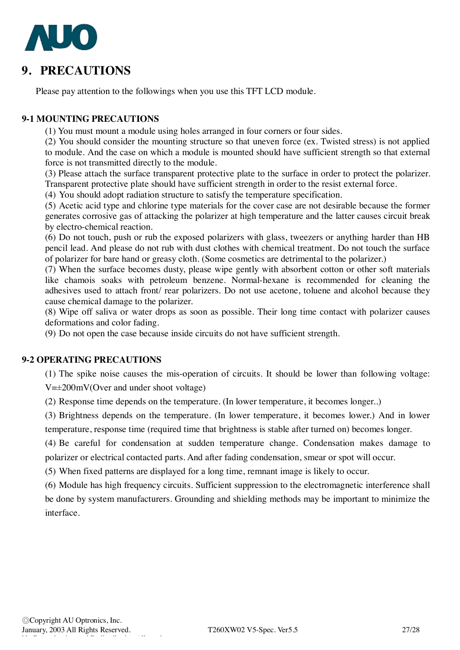

## **9. PRECAUTIONS**

Please pay attention to the followings when you use this TFT LCD module.

### **9-1 MOUNTING PRECAUTIONS**

(1) You must mount a module using holes arranged in four corners or four sides.

(2) You should consider the mounting structure so that uneven force (ex. Twisted stress) is not applied to module. And the case on which a module is mounted should have sufficient strength so that external force is not transmitted directly to the module.

(3) Please attach the surface transparent protective plate to the surface in order to protect the polarizer. Transparent protective plate should have sufficient strength in order to the resist external force.

(4) You should adopt radiation structure to satisfy the temperature specification.

(5) Acetic acid type and chlorine type materials for the cover case are not desirable because the former generates corrosive gas of attacking the polarizer at high temperature and the latter causes circuit break by electro-chemical reaction.

(6) Do not touch, push or rub the exposed polarizers with glass, tweezers or anything harder than HB pencil lead. And please do not rub with dust clothes with chemical treatment. Do not touch the surface of polarizer for bare hand or greasy cloth. (Some cosmetics are detrimental to the polarizer.)

(7) When the surface becomes dusty, please wipe gently with absorbent cotton or other soft materials like chamois soaks with petroleum benzene. Normal-hexane is recommended for cleaning the adhesives used to attach front/ rear polarizers. Do not use acetone, toluene and alcohol because they cause chemical damage to the polarizer.

(8) Wipe off saliva or water drops as soon as possible. Their long time contact with polarizer causes deformations and color fading.

(9) Do not open the case because inside circuits do not have sufficient strength.

### **9-2 OPERATING PRECAUTIONS**

(1) The spike noise causes the mis-operation of circuits. It should be lower than following voltage: V=±200mV(Over and under shoot voltage)

(2) Response time depends on the temperature. (In lower temperature, it becomes longer..)

(3) Brightness depends on the temperature. (In lower temperature, it becomes lower.) And in lower temperature, response time (required time that brightness is stable after turned on) becomes longer.

(4) Be careful for condensation at sudden temperature change. Condensation makes damage to polarizer or electrical contacted parts. And after fading condensation, smear or spot will occur.

(5) When fixed patterns are displayed for a long time, remnant image is likely to occur.

(6) Module has high frequency circuits. Sufficient suppression to the electromagnetic interference shall be done by system manufacturers. Grounding and shielding methods may be important to minimize the interface.